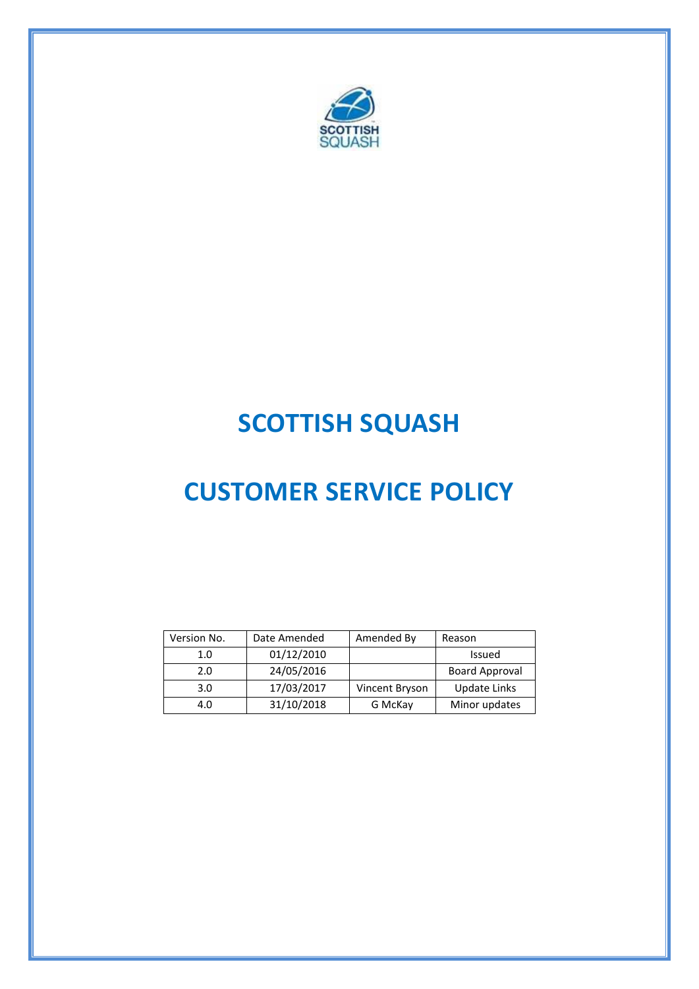

## **SCOTTISH SQUASH**

# **CUSTOMER SERVICE POLICY**

| Version No. | Date Amended | Amended By     | Reason                |
|-------------|--------------|----------------|-----------------------|
| 1.0         | 01/12/2010   |                | Issued                |
| 2.0         | 24/05/2016   |                | <b>Board Approval</b> |
| 3.0         | 17/03/2017   | Vincent Bryson | Update Links          |
| 4.0         | 31/10/2018   | G McKay        | Minor updates         |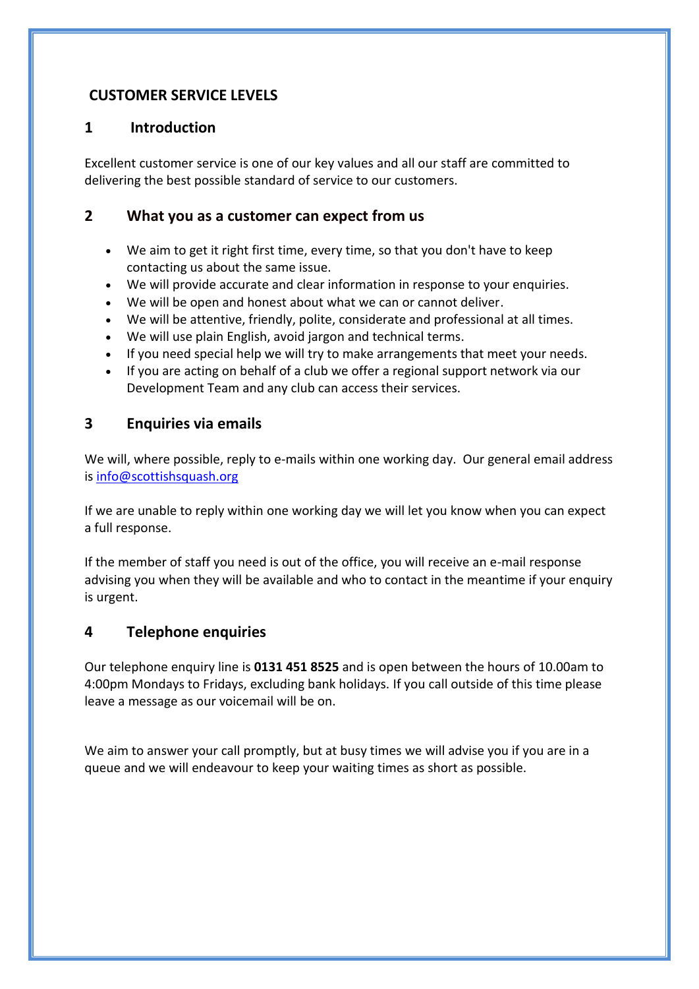#### **CUSTOMER SERVICE LEVELS**

#### **1 Introduction**

Excellent customer service is one of our key values and all our staff are committed to delivering the best possible standard of service to our customers.

#### **2 What you as a customer can expect from us**

- We aim to get it right first time, every time, so that you don't have to keep contacting us about the same issue.
- We will provide accurate and clear information in response to your enquiries.
- We will be open and honest about what we can or cannot deliver.
- We will be attentive, friendly, polite, considerate and professional at all times.
- We will use plain English, avoid jargon and technical terms.
- If you need special help we will try to make arrangements that meet your needs.
- If you are acting on behalf of a club we offer a regional support network via our Development Team and any club can access their services.

#### **3 Enquiries via emails**

We will, where possible, reply to e-mails within one working day. Our general email address is [info@scottishsquash.org](mailto:info@scottishsquash.org)

If we are unable to reply within one working day we will let you know when you can expect a full response.

If the member of staff you need is out of the office, you will receive an e-mail response advising you when they will be available and who to contact in the meantime if your enquiry is urgent.

#### **4 Telephone enquiries**

Our telephone enquiry line is **0131 451 8525** and is open between the hours of 10.00am to 4:00pm Mondays to Fridays, excluding bank holidays. If you call outside of this time please leave a message as our voicemail will be on.

We aim to answer your call promptly, but at busy times we will advise you if you are in a queue and we will endeavour to keep your waiting times as short as possible.